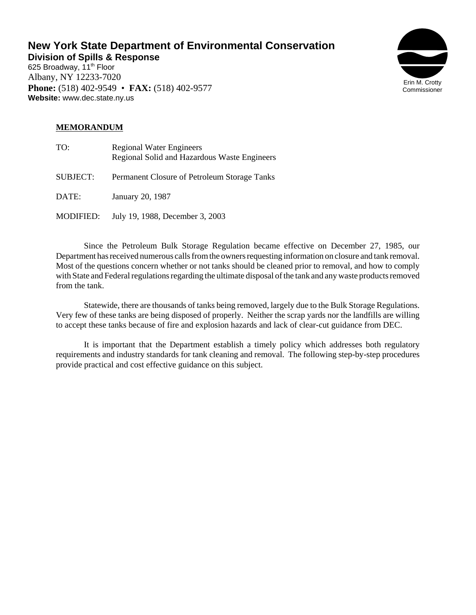# **New York State Department of Environmental Conservation**

**Division of Spills & Response** 625 Broadway, 11<sup>th</sup> Floor Albany, NY 12233-7020 **Phone:** (518) 402-9549 • **FAX:** (518) 402-9577 **Website:** www.dec.state.ny.us



## **MEMORANDUM**

| TO:             | <b>Regional Water Engineers</b><br>Regional Solid and Hazardous Waste Engineers |
|-----------------|---------------------------------------------------------------------------------|
| <b>SUBJECT:</b> | Permanent Closure of Petroleum Storage Tanks                                    |
| DATE:           | January 20, 1987                                                                |
| MODIFIED:       | July 19, 1988, December 3, 2003                                                 |

Since the Petroleum Bulk Storage Regulation became effective on December 27, 1985, our Department has received numerous calls from the owners requesting information on closure and tank removal. Most of the questions concern whether or not tanks should be cleaned prior to removal, and how to comply with State and Federal regulations regarding the ultimate disposal of the tank and any waste products removed from the tank.

Statewide, there are thousands of tanks being removed, largely due to the Bulk Storage Regulations. Very few of these tanks are being disposed of properly. Neither the scrap yards nor the landfills are willing to accept these tanks because of fire and explosion hazards and lack of clear-cut guidance from DEC.

It is important that the Department establish a timely policy which addresses both regulatory requirements and industry standards for tank cleaning and removal. The following step-by-step procedures provide practical and cost effective guidance on this subject.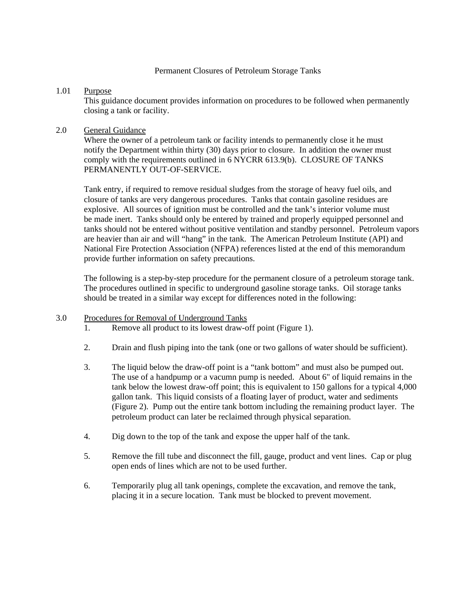#### Permanent Closures of Petroleum Storage Tanks

## 1.01 Purpose

This guidance document provides information on procedures to be followed when permanently closing a tank or facility.

## 2.0 General Guidance

Where the owner of a petroleum tank or facility intends to permanently close it he must notify the Department within thirty (30) days prior to closure. In addition the owner must comply with the requirements outlined in 6 NYCRR 613.9(b). CLOSURE OF TANKS PERMANENTLY OUT-OF-SERVICE.

Tank entry, if required to remove residual sludges from the storage of heavy fuel oils, and closure of tanks are very dangerous procedures. Tanks that contain gasoline residues are explosive. All sources of ignition must be controlled and the tank's interior volume must be made inert. Tanks should only be entered by trained and properly equipped personnel and tanks should not be entered without positive ventilation and standby personnel. Petroleum vapors are heavier than air and will "hang" in the tank. The American Petroleum Institute (API) and National Fire Protection Association (NFPA) references listed at the end of this memorandum provide further information on safety precautions.

The following is a step-by-step procedure for the permanent closure of a petroleum storage tank. The procedures outlined in specific to underground gasoline storage tanks. Oil storage tanks should be treated in a similar way except for differences noted in the following:

## 3.0 Procedures for Removal of Underground Tanks

- 1. Remove all product to its lowest draw-off point (Figure 1).
- 2. Drain and flush piping into the tank (one or two gallons of water should be sufficient).
- 3. The liquid below the draw-off point is a "tank bottom" and must also be pumped out. The use of a handpump or a vacumn pump is needed. About 6" of liquid remains in the tank below the lowest draw-off point; this is equivalent to 150 gallons for a typical 4,000 gallon tank. This liquid consists of a floating layer of product, water and sediments (Figure 2). Pump out the entire tank bottom including the remaining product layer. The petroleum product can later be reclaimed through physical separation.
- 4. Dig down to the top of the tank and expose the upper half of the tank.
- 5. Remove the fill tube and disconnect the fill, gauge, product and vent lines. Cap or plug open ends of lines which are not to be used further.
- 6. Temporarily plug all tank openings, complete the excavation, and remove the tank, placing it in a secure location. Tank must be blocked to prevent movement.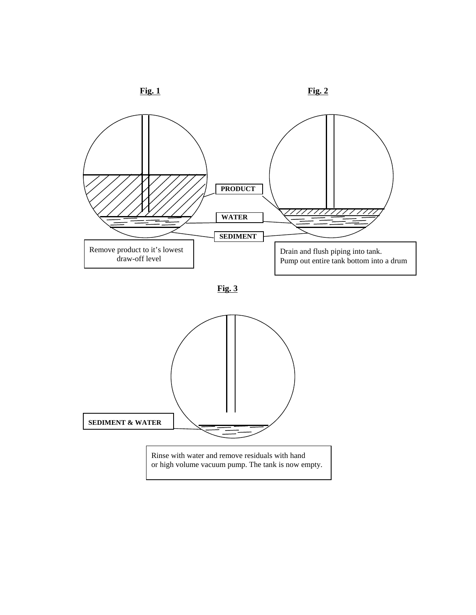





**Fig. 3**

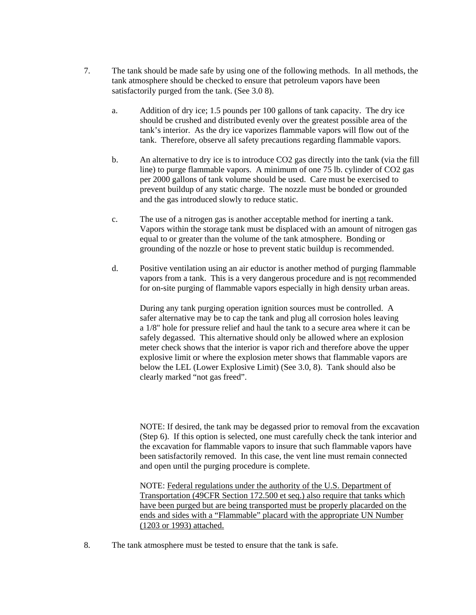- 7. The tank should be made safe by using one of the following methods. In all methods, the tank atmosphere should be checked to ensure that petroleum vapors have been satisfactorily purged from the tank. (See 3.0 8).
	- a. Addition of dry ice; 1.5 pounds per 100 gallons of tank capacity. The dry ice should be crushed and distributed evenly over the greatest possible area of the tank's interior. As the dry ice vaporizes flammable vapors will flow out of the tank. Therefore, observe all safety precautions regarding flammable vapors.
	- b. An alternative to dry ice is to introduce CO2 gas directly into the tank (via the fill line) to purge flammable vapors. A minimum of one 75 lb. cylinder of CO2 gas per 2000 gallons of tank volume should be used. Care must be exercised to prevent buildup of any static charge. The nozzle must be bonded or grounded and the gas introduced slowly to reduce static.
	- c. The use of a nitrogen gas is another acceptable method for inerting a tank. Vapors within the storage tank must be displaced with an amount of nitrogen gas equal to or greater than the volume of the tank atmosphere. Bonding or grounding of the nozzle or hose to prevent static buildup is recommended.
	- d. Positive ventilation using an air eductor is another method of purging flammable vapors from a tank. This is a very dangerous procedure and is not recommended for on-site purging of flammable vapors especially in high density urban areas.

During any tank purging operation ignition sources must be controlled. A safer alternative may be to cap the tank and plug all corrosion holes leaving a 1/8" hole for pressure relief and haul the tank to a secure area where it can be safely degassed. This alternative should only be allowed where an explosion meter check shows that the interior is vapor rich and therefore above the upper explosive limit or where the explosion meter shows that flammable vapors are below the LEL (Lower Explosive Limit) (See 3.0, 8). Tank should also be clearly marked "not gas freed".

NOTE: If desired, the tank may be degassed prior to removal from the excavation (Step 6). If this option is selected, one must carefully check the tank interior and the excavation for flammable vapors to insure that such flammable vapors have been satisfactorily removed. In this case, the vent line must remain connected and open until the purging procedure is complete.

NOTE: Federal regulations under the authority of the U.S. Department of Transportation (49CFR Section 172.500 et seq.) also require that tanks which have been purged but are being transported must be properly placarded on the ends and sides with a "Flammable" placard with the appropriate UN Number (1203 or 1993) attached.

8. The tank atmosphere must be tested to ensure that the tank is safe.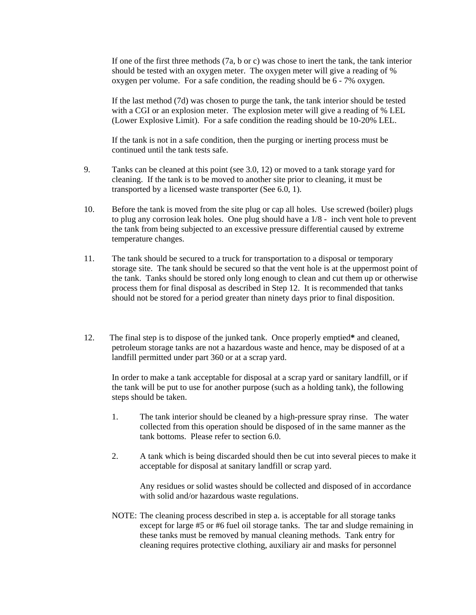If one of the first three methods (7a, b or c) was chose to inert the tank, the tank interior should be tested with an oxygen meter. The oxygen meter will give a reading of % oxygen per volume. For a safe condition, the reading should be 6 - 7% oxygen.

If the last method (7d) was chosen to purge the tank, the tank interior should be tested with a CGI or an explosion meter. The explosion meter will give a reading of % LEL (Lower Explosive Limit). For a safe condition the reading should be 10-20% LEL.

If the tank is not in a safe condition, then the purging or inerting process must be continued until the tank tests safe.

- 9. Tanks can be cleaned at this point (see 3.0, 12) or moved to a tank storage yard for cleaning. If the tank is to be moved to another site prior to cleaning, it must be transported by a licensed waste transporter (See 6.0, 1).
- 10. Before the tank is moved from the site plug or cap all holes. Use screwed (boiler) plugs to plug any corrosion leak holes. One plug should have a 1/8 - inch vent hole to prevent the tank from being subjected to an excessive pressure differential caused by extreme temperature changes.
- 11. The tank should be secured to a truck for transportation to a disposal or temporary storage site. The tank should be secured so that the vent hole is at the uppermost point of the tank. Tanks should be stored only long enough to clean and cut them up or otherwise process them for final disposal as described in Step 12. It is recommended that tanks should not be stored for a period greater than ninety days prior to final disposition.
- 12. The final step is to dispose of the junked tank. Once properly emptied**\*** and cleaned, petroleum storage tanks are not a hazardous waste and hence, may be disposed of at a landfill permitted under part 360 or at a scrap yard.

In order to make a tank acceptable for disposal at a scrap yard or sanitary landfill, or if the tank will be put to use for another purpose (such as a holding tank), the following steps should be taken.

- 1. The tank interior should be cleaned by a high-pressure spray rinse. The water collected from this operation should be disposed of in the same manner as the tank bottoms. Please refer to section 6.0.
- 2. A tank which is being discarded should then be cut into several pieces to make it acceptable for disposal at sanitary landfill or scrap yard.

Any residues or solid wastes should be collected and disposed of in accordance with solid and/or hazardous waste regulations.

NOTE: The cleaning process described in step a. is acceptable for all storage tanks except for large #5 or #6 fuel oil storage tanks. The tar and sludge remaining in these tanks must be removed by manual cleaning methods. Tank entry for cleaning requires protective clothing, auxiliary air and masks for personnel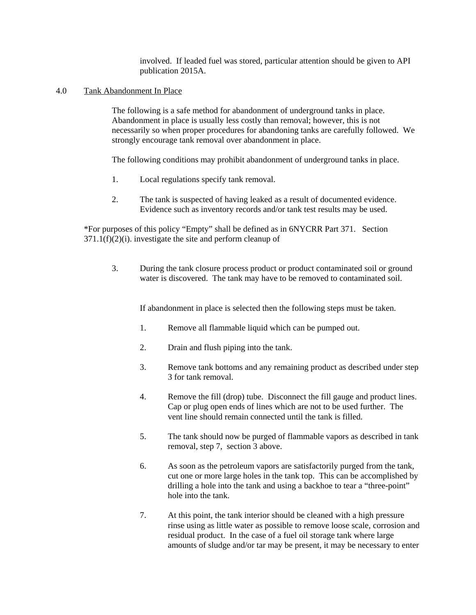involved. If leaded fuel was stored, particular attention should be given to API publication 2015A.

#### 4.0 Tank Abandonment In Place

The following is a safe method for abandonment of underground tanks in place. Abandonment in place is usually less costly than removal; however, this is not necessarily so when proper procedures for abandoning tanks are carefully followed. We strongly encourage tank removal over abandonment in place.

The following conditions may prohibit abandonment of underground tanks in place.

- 1. Local regulations specify tank removal.
- 2. The tank is suspected of having leaked as a result of documented evidence. Evidence such as inventory records and/or tank test results may be used.

\*For purposes of this policy "Empty" shall be defined as in 6NYCRR Part 371. Section 371.1(f)(2)(i). investigate the site and perform cleanup of

3. During the tank closure process product or product contaminated soil or ground water is discovered. The tank may have to be removed to contaminated soil.

If abandonment in place is selected then the following steps must be taken.

- 1. Remove all flammable liquid which can be pumped out.
- 2. Drain and flush piping into the tank.
- 3. Remove tank bottoms and any remaining product as described under step 3 for tank removal.
- 4. Remove the fill (drop) tube. Disconnect the fill gauge and product lines. Cap or plug open ends of lines which are not to be used further. The vent line should remain connected until the tank is filled.
- 5. The tank should now be purged of flammable vapors as described in tank removal, step 7, section 3 above.
- 6. As soon as the petroleum vapors are satisfactorily purged from the tank, cut one or more large holes in the tank top. This can be accomplished by drilling a hole into the tank and using a backhoe to tear a "three-point" hole into the tank.
- 7. At this point, the tank interior should be cleaned with a high pressure rinse using as little water as possible to remove loose scale, corrosion and residual product. In the case of a fuel oil storage tank where large amounts of sludge and/or tar may be present, it may be necessary to enter